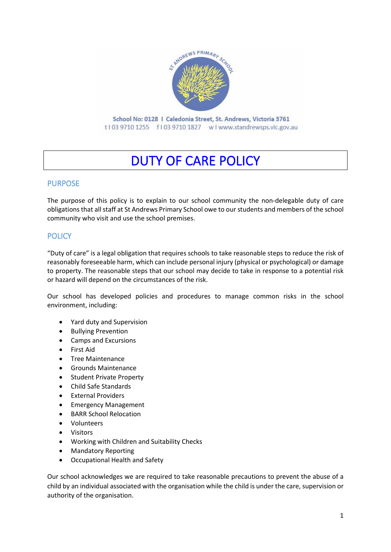

t103 9710 1255 f103 9710 1827 wlwww.standrewsps.vic.gov.au

# DUTY OF CARE POLICY

### PURPOSE

The purpose of this policy is to explain to our school community the non-delegable duty of care obligations that all staff at St Andrews Primary School owe to ourstudents and members of the school community who visit and use the school premises.

# **POLICY**

"Duty of care" is a legal obligation that requires schools to take reasonable steps to reduce the risk of reasonably foreseeable harm, which can include personal injury (physical or psychological) or damage to property. The reasonable steps that our school may decide to take in response to a potential risk or hazard will depend on the circumstances of the risk.

Our school has developed policies and procedures to manage common risks in the school environment, including:

- Yard duty and Supervision
- Bullying Prevention
- Camps and Excursions
- First Aid
- Tree Maintenance
- Grounds Maintenance
- Student Private Property
- Child Safe Standards
- External Providers
- Emergency Management
- BARR School Relocation
- Volunteers
- Visitors
- Working with Children and Suitability Checks
- Mandatory Reporting
- Occupational Health and Safety

Our school acknowledges we are required to take reasonable precautions to prevent the abuse of a child by an individual associated with the organisation while the child is under the care, supervision or authority of the organisation.